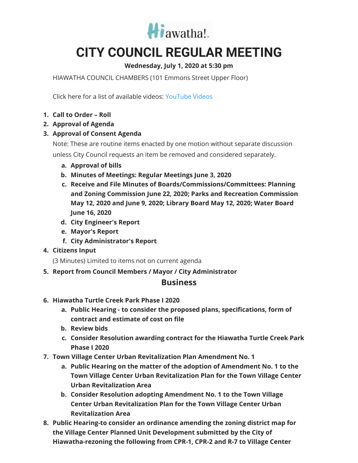

## **CITY COUNCIL REGULAR MEETING**

## **Wednesday, July 1, 2020 at 5:30 pm**

HIAWATHA COUNCIL CHAMBERS (101 Emmons Street Upper Floor)

Click here for a list of available videos: [YouTube](https://www.youtube.com/channel/UC3Vyub-x0FNe8YImqf5XsOQ) Videos

- **1. Call to Order – Roll**
- **2. Approval of Agenda**
- **3. Approval of Consent Agenda**

Note: These are routine items enacted by one motion without separate discussion unless City Council requests an item be removed and considered separately.

- **a. Approval of bills**
- **b. Minutes of Meetings: Regular Meetings June 3, 2020**
- **c. Receive and File Minutes of Boards/Commissions/Committees: Planning and Zoning Commission June 22, 2020; Parks and Recreation Commission May 12, 2020 and June 9, 2020; Library Board May 12, 2020; Water Board June 16, 2020**
- **d. City Engineer's Report**
- **e. Mayor's Report**
- **f. City Administrator's Report**
- **4. Citizens Input**

(3 Minutes) Limited to items not on current agenda

**5. Report from Council Members / Mayor / City Administrator**

## **Business**

- **6. Hiawatha Turtle Creek Park Phase I 2020**
	- **a. Public Hearing - to consider the proposed plans, specifications, form of contract and estimate of cost on file**
	- **b. Review bids**
	- **c. Consider Resolution awarding contract for the Hiawatha Turtle Creek Park Phase I 2020**
- **7. Town Village Center Urban Revitalization Plan Amendment No. 1**
	- **a. Public Hearing on the matter of the adoption of Amendment No. 1 to the Town Village Center Urban Revitalization Plan for the Town Village Center Urban Revitalization Area**
	- **b. Consider Resolution adopting Amendment No. 1 to the Town Village Center Urban Revitalization Plan for the Town Village Center Urban Revitalization Area**
- **8. Public Hearing-to consider an ordinance amending the zoning district map for the Village Center Planned Unit Development submitted by the City of Hiawatha-rezoning the following from CPR-1, CPR-2 and R-7 to Village Center**